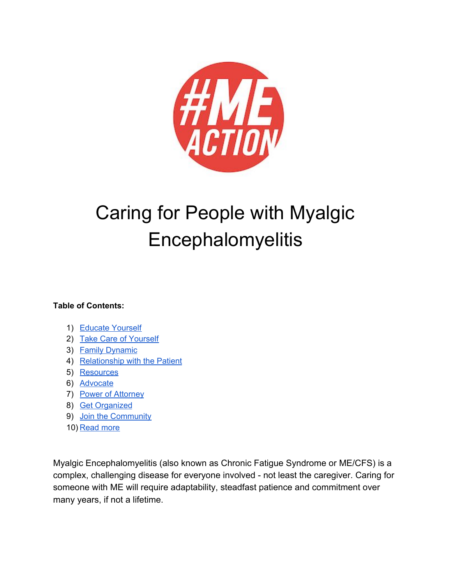

# Caring for People with Myalgic Encephalomyelitis

### **Table of Contents:**

- 1) Educate Yourself
- 2) Take Care of [Yourself](#page-3-0)
- 3) Family [Dynamic](#page-3-1)
- 4) [Relationship](#page-3-2) with the Patient
- 5) [Resources](#page-6-0)
- 6) [Advocate](#page-6-1)
- 7) Power of [Attorney](#page-7-0)
- 8) Get [Organized](#page-7-1)
- 9) Join the [Community](#page-8-0)
- 10) [Read](#page-8-1) more

Myalgic Encephalomyelitis (also known as Chronic Fatigue Syndrome or ME/CFS) is a complex, challenging disease for everyone involved - not least the caregiver. Caring for someone with ME will require adaptability, steadfast patience and commitment over many years, if not a lifetime.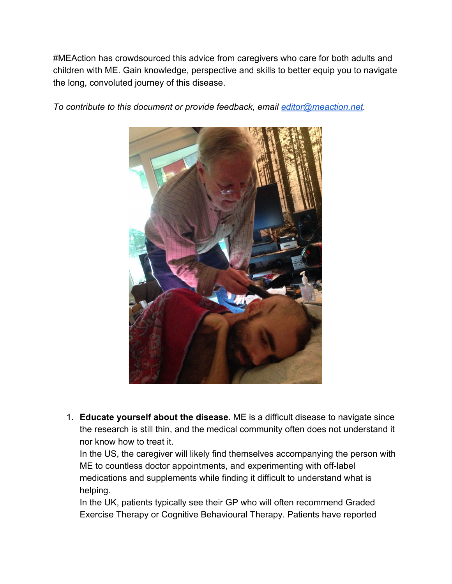#MEAction has crowdsourced this advice from caregivers who care for both adults and children with ME. Gain knowledge, perspective and skills to better equip you to navigate the long, convoluted journey of this disease.



*To contribute to this document or provide feedback, email [editor@meaction.net.](mailto:editor@meaction.net)*

1. **Educate yourself about the disease.** ME is a difficult disease to navigate since the research is still thin, and the medical community often does not understand it nor know how to treat it.

In the US, the caregiver will likely find themselves accompanying the person with ME to countless doctor appointments, and experimenting with off-label medications and supplements while finding it difficult to understand what is helping.

In the UK, patients typically see their GP who will often recommend Graded Exercise Therapy or Cognitive Behavioural Therapy. Patients have reported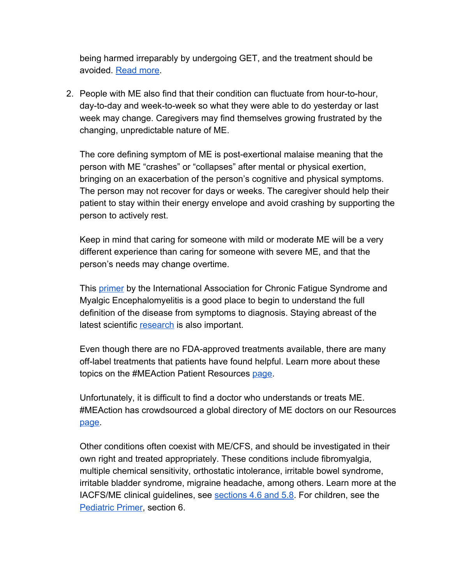being harmed irreparably by undergoing GET, and the treatment should be avoided. [Read more](https://emerge.org.au/wp-content/uploads/2018/02/PEM-GET-Primer-December-2017.pdf).

2. People with ME also find that their condition can fluctuate from hour-to-hour, day-to-day and week-to-week so what they were able to do yesterday or last week may change. Caregivers may find themselves growing frustrated by the changing, unpredictable nature of ME.

The core defining symptom of ME is post-exertional malaise meaning that the person with ME "crashes" or "collapses" after mental or physical exertion, bringing on an exacerbation of the person's cognitive and physical symptoms. The person may not recover for days or weeks. The caregiver should help their patient to stay within their energy envelope and avoid crashing by supporting the person to actively rest.

Keep in mind that caring for someone with mild or moderate ME will be a very different experience than caring for someone with severe ME, and that the person's needs may change overtime.

This [primer](http://iacfsme.org/portals/0/pdf/Primer_Post_2014_conference.pdf) by the International Association for Chronic Fatigue Syndrome and Myalgic Encephalomyelitis is a good place to begin to understand the full definition of the disease from symptoms to diagnosis. Staying abreast of the latest scientific [research](http://www.meaction.net/reports-and-fact-sheets/) is also important.

Even though there are no FDA-approved treatments available, there are many off-label treatments that patients have found helpful. Learn more about these topics on the #MEAction Patient Resources [page.](http://www.meaction.net/support/)

Unfortunately, it is difficult to find a doctor who understands or treats ME. #MEAction has crowdsourced a global directory of ME doctors on our Resources [page.](http://www.meaction.net/support/)

Other conditions often coexist with ME/CFS, and should be investigated in their own right and treated appropriately. These conditions include fibromyalgia, multiple chemical sensitivity, orthostatic intolerance, irritable bowel syndrome, irritable bladder syndrome, migraine headache, among others. Learn more at the IACFS/ME clinical guidelines, see [sections 4.6 and 5.8](http://iacfsme.org/portals/0/pdf/Primer_Post_2014_conference.pdf). For children, see the [Pediatric Primer,](https://www.dropbox.com/s/9b0cys0h65deuet/Pediatric%20Primer%20monograph%2C%2011-17-2017%20%282%29.pdf?dl=0) section 6.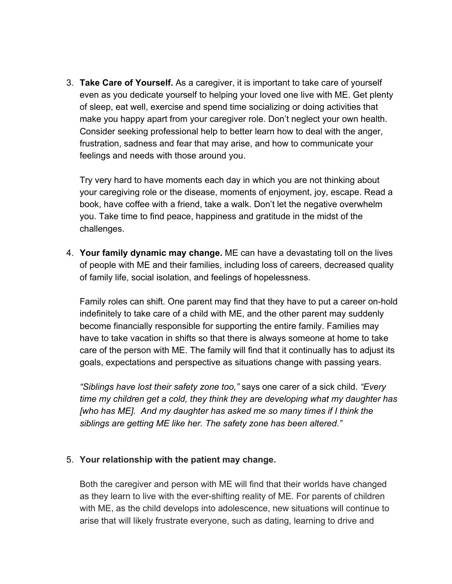<span id="page-3-0"></span>3. **Take Care of Yourself.** As a caregiver, it is important to take care of yourself even as you dedicate yourself to helping your loved one live with ME. Get plenty of sleep, eat well, exercise and spend time socializing or doing activities that make you happy apart from your caregiver role. Don't neglect your own health. Consider seeking professional help to better learn how to deal with the anger, frustration, sadness and fear that may arise, and how to communicate your feelings and needs with those around you.

Try very hard to have moments each day in which you are not thinking about your caregiving role or the disease, moments of enjoyment, joy, escape. Read a book, have coffee with a friend, take a walk. Don't let the negative overwhelm you. Take time to find peace, happiness and gratitude in the midst of the challenges.

<span id="page-3-1"></span>4. **Your family dynamic may change.** ME can have a devastating toll on the lives of people with ME and their families, including loss of careers, decreased quality of family life, social isolation, and feelings of hopelessness.

Family roles can shift. One parent may find that they have to put a career on-hold indefinitely to take care of a child with ME, and the other parent may suddenly become financially responsible for supporting the entire family. Families may have to take vacation in shifts so that there is always someone at home to take care of the person with ME. The family will find that it continually has to adjust its goals, expectations and perspective as situations change with passing years.

*"Siblings have lost their safety zone too,"* says one carer of a sick child. *"Every time my children get a cold, they think they are developing what my daughter has [who has ME]. And my daughter has asked me so many times if I think the siblings are getting ME like her. The safety zone has been altered."*

### <span id="page-3-2"></span>5. **Your relationship with the patient may change.**

Both the caregiver and person with ME will find that their worlds have changed as they learn to live with the ever-shifting reality of ME. For parents of children with ME, as the child develops into adolescence, new situations will continue to arise that will likely frustrate everyone, such as dating, learning to drive and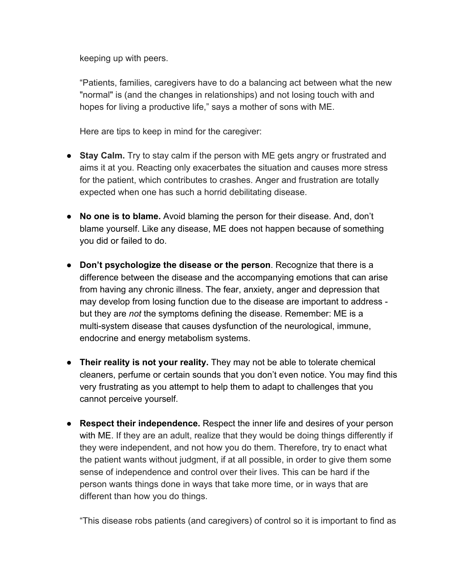keeping up with peers.

"Patients, families, caregivers have to do a balancing act between what the new "normal" is (and the changes in relationships) and not losing touch with and hopes for living a productive life," says a mother of sons with ME.

Here are tips to keep in mind for the caregiver:

- **Stay Calm.** Try to stay calm if the person with ME gets angry or frustrated and aims it at you. Reacting only exacerbates the situation and causes more stress for the patient, which contributes to crashes. Anger and frustration are totally expected when one has such a horrid debilitating disease.
- **No one is to blame.** Avoid blaming the person for their disease. And, don't blame yourself. Like any disease, ME does not happen because of something you did or failed to do.
- **Don't psychologize the disease or the person**. Recognize that there is a difference between the disease and the accompanying emotions that can arise from having any chronic illness. The fear, anxiety, anger and depression that may develop from losing function due to the disease are important to address but they are *not* the symptoms defining the disease. Remember: ME is a multi-system disease that causes dysfunction of the neurological, immune, endocrine and energy metabolism systems.
- **Their reality is not your reality.** They may not be able to tolerate chemical cleaners, perfume or certain sounds that you don't even notice. You may find this very frustrating as you attempt to help them to adapt to challenges that you cannot perceive yourself.
- **Respect their independence.** Respect the inner life and desires of your person with ME. If they are an adult, realize that they would be doing things differently if they were independent, and not how you do them. Therefore, try to enact what the patient wants without judgment, if at all possible, in order to give them some sense of independence and control over their lives. This can be hard if the person wants things done in ways that take more time, or in ways that are different than how you do things.

"This disease robs patients (and caregivers) of control so it is important to find as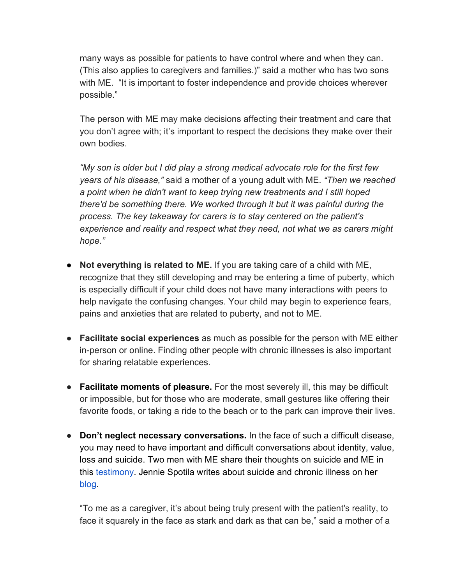many ways as possible for patients to have control where and when they can. (This also applies to caregivers and families.)" said a mother who has two sons with ME. "It is important to foster independence and provide choices wherever possible."

The person with ME may make decisions affecting their treatment and care that you don't agree with; it's important to respect the decisions they make over their own bodies.

*"My son is older but I did play a strong medical advocate role for the first few years of his disease,"* said a mother of a young adult with ME. *"Then we reached a point when he didn't want to keep trying new treatments and I still hoped there'd be something there. We worked through it but it was painful during the process. The key takeaway for carers is to stay centered on the patient's experience and reality and respect what they need, not what we as carers might hope."*

- **Not everything is related to ME.** If you are taking care of a child with ME, recognize that they still developing and may be entering a time of puberty, which is especially difficult if your child does not have many interactions with peers to help navigate the confusing changes. Your child may begin to experience fears, pains and anxieties that are related to puberty, and not to ME.
- *●* **Facilitate social experiences** as much as possible for the person with ME either in-person or online. Finding other people with chronic illnesses is also important for sharing relatable experiences.
- *●* **Facilitate moments of pleasure.** For the most severely ill, this may be difficult or impossible, but for those who are moderate, small gestures like offering their favorite foods, or taking a ride to the beach or to the park can improve their lives.
- *●* **Don't neglect necessary conversations.** In the face of such a difficult disease, you may need to have important and difficult conversations about identity, value, loss and suicide. Two men with ME share their thoughts on suicide and ME in this [testimony.](https://drive.google.com/open?id=1T6M1yGFPhZavkuZ-ocLKWswDQ16zd9z4) Jennie Spotila writes about suicide and chronic illness on her [blog](http://occupyme.net/2017/11/16/more-thoughts-on-suicide/).

"To me as a caregiver, it's about being truly present with the patient's reality, to face it squarely in the face as stark and dark as that can be," said a mother of a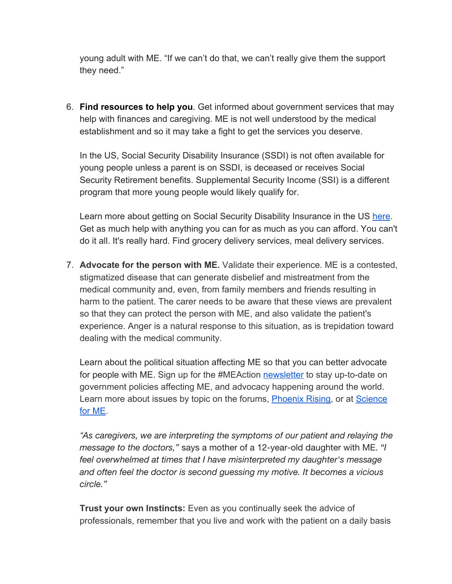young adult with ME. "If we can't do that, we can't really give them the support they need."

<span id="page-6-0"></span>6. **Find resources to help you**. Get informed about government services that may help with finances and caregiving. ME is not well understood by the medical establishment and so it may take a fight to get the services you deserve.

In the US, Social Security Disability Insurance (SSDI) is not often available for young people unless a parent is on SSDI, is deceased or receives Social Security Retirement benefits. Supplemental Security Income (SSI) is a different program that more young people would likely qualify for.

Learn more about getting on Social Security Disability Insurance in the US [here.](http://www.meaction.net/2017/04/17/the-sleepy-girl-guide-to-social-security-disability-u-s/) Get as much help with anything you can for as much as you can afford. You can't do it all. It's really hard. Find grocery delivery services, meal delivery services.

<span id="page-6-1"></span>7. **Advocate for the person with ME.** Validate their experience. ME is a contested, stigmatized disease that can generate disbelief and mistreatment from the medical community and, even, from family members and friends resulting in harm to the patient. The carer needs to be aware that these views are prevalent so that they can protect the person with ME, and also validate the patient's experience. Anger is a natural response to this situation, as is trepidation toward dealing with the medical community.

Learn about the political situation affecting ME so that you can better advocate for people with ME. Sign up for the #MEAction [newsletter](http://www.meaction.net/daily-digest/) to stay up-to-date on government policies affecting ME, and advocacy happening around the world. Learn more about issues by topic on the forums, [Phoenix Rising](http://phoenixrising.me/), or at [Science](https://www.s4me.info/index.php) [for ME](https://www.s4me.info/index.php).

*"As caregivers, we are interpreting the symptoms of our patient and relaying the message to the doctors,"* says a mother of a 12-year-old daughter with ME. *"I feel overwhelmed at times that I have misinterpreted my daughter's message and often feel the doctor is second guessing my motive. It becomes a vicious circle."*

**Trust your own Instincts:** Even as you continually seek the advice of professionals, remember that you live and work with the patient on a daily basis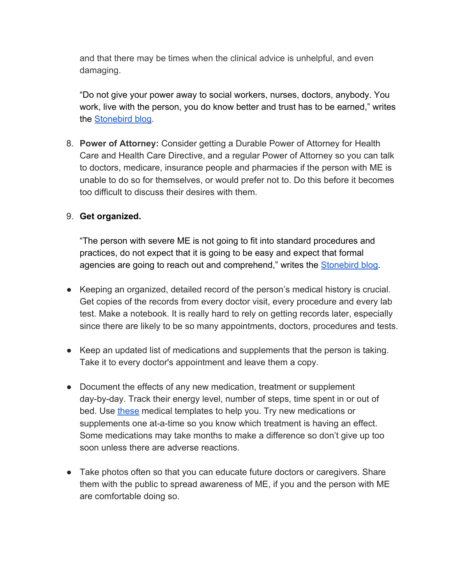and that there may be times when the clinical advice is unhelpful, and even damaging.

"Do not give your power away to social workers, nurses, doctors, anybody. You work, live with the person, you do know better and trust has to be earned," writes the [Stonebird blog.](http://stonebird.co.uk/care.html)

<span id="page-7-0"></span>8. **Power of Attorney:** Consider getting a Durable Power of Attorney for Health Care and Health Care Directive, and a regular Power of Attorney so you can talk to doctors, medicare, insurance people and pharmacies if the person with ME is unable to do so for themselves, or would prefer not to. Do this before it becomes too difficult to discuss their desires with them.

## <span id="page-7-1"></span>9. **Get organized.**

"The person with severe ME is not going to fit into standard procedures and practices, do not expect that it is going to be easy and expect that formal agencies are going to reach out and comprehend," writes the [Stonebird blog](http://stonebird.co.uk/care.html).

- Keeping an organized, detailed record of the person's medical history is crucial. Get copies of the records from every doctor visit, every procedure and every lab test. Make a notebook. It is really hard to rely on getting records later, especially since there are likely to be so many appointments, doctors, procedures and tests.
- Keep an updated list of medications and supplements that the person is taking. Take it to every doctor's appointment and leave them a copy.
- Document the effects of any new medication, treatment or supplement day-by-day. Track their energy level, number of steps, time spent in or out of bed. Use [these](https://www.freeprintablemedicalforms.com/category/medication) medical templates to help you. Try new medications or supplements one at-a-time so you know which treatment is having an effect. Some medications may take months to make a difference so don't give up too soon unless there are adverse reactions.
- Take photos often so that you can educate future doctors or caregivers. Share them with the public to spread awareness of ME, if you and the person with ME are comfortable doing so.